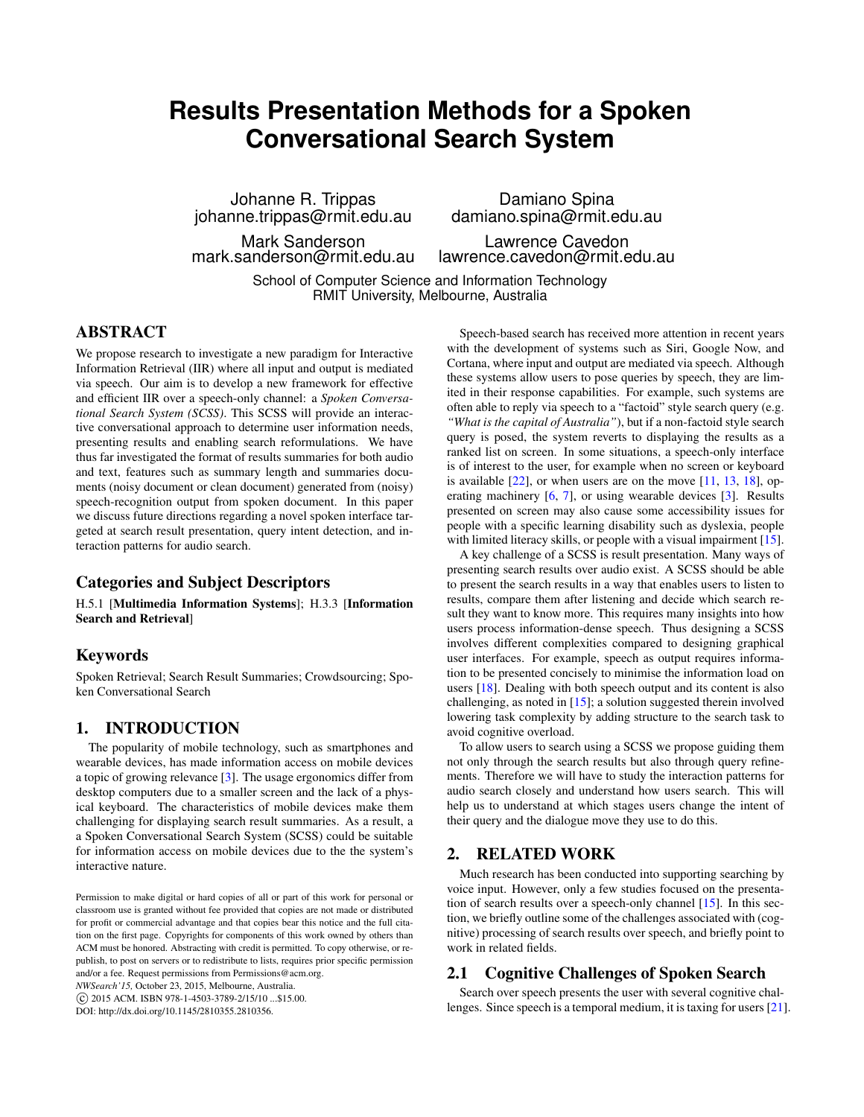# **Results Presentation Methods for a Spoken Conversational Search System**

Johanne R. Trippas johanne.trippas@rmit.edu.au

Damiano Spina damiano.spina@rmit.edu.au

Mark Sanderson mark.sanderson@rmit.edu.au

Lawrence Cavedon lawrence.cavedon@rmit.edu.au

School of Computer Science and Information Technology RMIT University, Melbourne, Australia

# ABSTRACT

We propose research to investigate a new paradigm for Interactive Information Retrieval (IIR) where all input and output is mediated via speech. Our aim is to develop a new framework for effective and efficient IIR over a speech-only channel: a *Spoken Conversational Search System (SCSS)*. This SCSS will provide an interactive conversational approach to determine user information needs, presenting results and enabling search reformulations. We have thus far investigated the format of results summaries for both audio and text, features such as summary length and summaries documents (noisy document or clean document) generated from (noisy) speech-recognition output from spoken document. In this paper we discuss future directions regarding a novel spoken interface targeted at search result presentation, query intent detection, and interaction patterns for audio search.

# Categories and Subject Descriptors

H.5.1 [Multimedia Information Systems]; H.3.3 [Information Search and Retrieval]

### Keywords

Spoken Retrieval; Search Result Summaries; Crowdsourcing; Spoken Conversational Search

# 1. INTRODUCTION

The popularity of mobile technology, such as smartphones and wearable devices, has made information access on mobile devices a topic of growing relevance [\[3\]](#page-2-0). The usage ergonomics differ from desktop computers due to a smaller screen and the lack of a physical keyboard. The characteristics of mobile devices make them challenging for displaying search result summaries. As a result, a a Spoken Conversational Search System (SCSS) could be suitable for information access on mobile devices due to the the system's interactive nature.

*NWSearch'15,* October 23, 2015, Melbourne, Australia.

c 2015 ACM. ISBN 978-1-4503-3789-2/15/10 ...\$15.00.

DOI: http://dx.doi.org/10.1145/2810355.2810356.

Speech-based search has received more attention in recent years with the development of systems such as Siri, Google Now, and Cortana, where input and output are mediated via speech. Although these systems allow users to pose queries by speech, they are limited in their response capabilities. For example, such systems are often able to reply via speech to a "factoid" style search query (e.g. *"What is the capital of Australia"*), but if a non-factoid style search query is posed, the system reverts to displaying the results as a ranked list on screen. In some situations, a speech-only interface is of interest to the user, for example when no screen or keyboard is available  $[22]$ , or when users are on the move  $[11, 13, 18]$  $[11, 13, 18]$  $[11, 13, 18]$  $[11, 13, 18]$  $[11, 13, 18]$ , operating machinery [\[6,](#page-2-5) [7\]](#page-2-6), or using wearable devices [\[3\]](#page-2-0). Results presented on screen may also cause some accessibility issues for people with a specific learning disability such as dyslexia, people with limited literacy skills, or people with a visual impairment [\[15\]](#page-2-7).

A key challenge of a SCSS is result presentation. Many ways of presenting search results over audio exist. A SCSS should be able to present the search results in a way that enables users to listen to results, compare them after listening and decide which search result they want to know more. This requires many insights into how users process information-dense speech. Thus designing a SCSS involves different complexities compared to designing graphical user interfaces. For example, speech as output requires information to be presented concisely to minimise the information load on users [\[18\]](#page-2-4). Dealing with both speech output and its content is also challenging, as noted in [\[15\]](#page-2-7); a solution suggested therein involved lowering task complexity by adding structure to the search task to avoid cognitive overload.

To allow users to search using a SCSS we propose guiding them not only through the search results but also through query refinements. Therefore we will have to study the interaction patterns for audio search closely and understand how users search. This will help us to understand at which stages users change the intent of their query and the dialogue move they use to do this.

# 2. RELATED WORK

Much research has been conducted into supporting searching by voice input. However, only a few studies focused on the presentation of search results over a speech-only channel [\[15\]](#page-2-7). In this section, we briefly outline some of the challenges associated with (cognitive) processing of search results over speech, and briefly point to work in related fields.

# 2.1 Cognitive Challenges of Spoken Search

Search over speech presents the user with several cognitive challenges. Since speech is a temporal medium, it is taxing for users [\[21\]](#page-2-8).

Permission to make digital or hard copies of all or part of this work for personal or classroom use is granted without fee provided that copies are not made or distributed for profit or commercial advantage and that copies bear this notice and the full citation on the first page. Copyrights for components of this work owned by others than ACM must be honored. Abstracting with credit is permitted. To copy otherwise, or republish, to post on servers or to redistribute to lists, requires prior specific permission and/or a fee. Request permissions from Permissions@acm.org.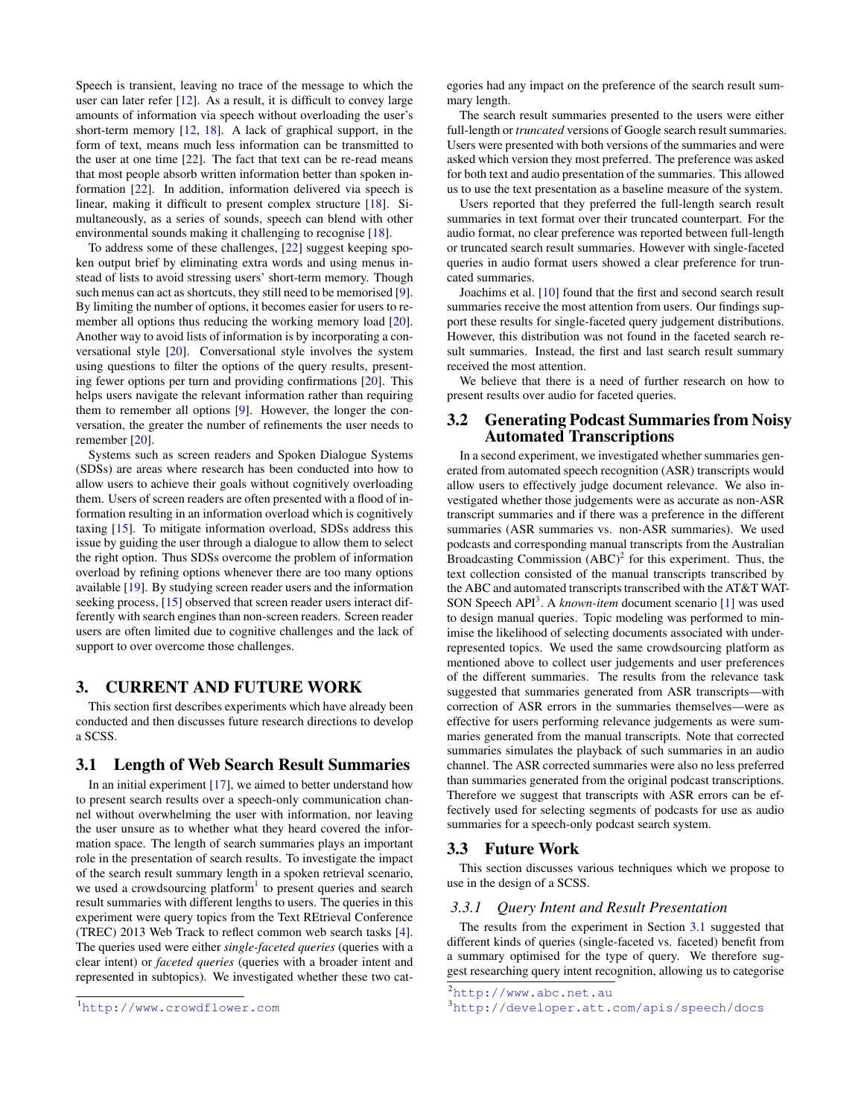Speech is transient, leaving no trace of the message to which the user can later refer  $[12]$ . As a result, it is difficult to convey large amounts of information via speech without overloading the user's short-term memory  $[12, 18]$  $[12, 18]$  $[12, 18]$ . A lack of graphical support, in the form of text, means much less information can be transmitted to the user at one time  $[22]$ . The fact that text can be re-read means that most people absorb written information better than spoken information [\[22\]](#page-2-1). In addition, information delivered via speech is linear, making it difficult to present complex structure [\[18\]](#page-2-4). Simultaneously, as a series of sounds, speech can blend with other environmental sounds making it challenging to recognise [\[18\]](#page-2-4).

To address some of these challenges, [\[22\]](#page-2-1) suggest keeping spoken output brief by eliminating extra words and using menus instead of lists to avoid stressing users' short-term memory. Though such menus can act as shortcuts, they still need to be memorised [\[9\]](#page-2-10). By limiting the number of options, it becomes easier for users to re-member all options thus reducing the working memory load [\[20\]](#page-2-11). Another way to avoid lists of information is by incorporating a conversational style [\[20\]](#page-2-11). Conversational style involves the system using questions to filter the options of the query results, presenting fewer options per turn and providing confirmations [\[20\]](#page-2-11). This helps users navigate the relevant information rather than requiring them to remember all options [\[9\]](#page-2-10). However, the longer the conversation, the greater the number of refinements the user needs to remember [\[20\]](#page-2-11).

Systems such as screen readers and Spoken Dialogue Systems (SDSs) are areas where research has been conducted into how to allow users to achieve their goals without cognitively overloading them. Users of screen readers are often presented with a flood of information resulting in an information overload which is cognitively taxing [\[15\]](#page-2-7). To mitigate information overload, SDSs address this issue by guiding the user through a dialogue to allow them to select the right option. Thus SDSs overcome the problem of information overload by refining options whenever there are too many options available [\[19\]](#page-2-12). By studying screen reader users and the information seeking process, [\[15\]](#page-2-7) observed that screen reader users interact differently with search engines than non-screen readers. Screen reader users are often limited due to cognitive challenges and the lack of support to over overcome those challenges.

### 3. CURRENT AND FUTURE WORK

This section first describes experiments which have already been conducted and then discusses future research directions to develop a SCSS.

#### <span id="page-1-3"></span>3.1 Length of Web Search Result Summaries

In an initial experiment [\[17\]](#page-2-13), we aimed to better understand how to present search results over a speech-only communication channel without overwhelming the user with information, nor leaving the user unsure as to whether what they heard covered the information space. The length of search summaries plays an important role in the presentation of search results. To investigate the impact of the search result summary length in a spoken retrieval scenario, we used a crowdsourcing platform<sup>[1](#page-1-0)</sup> to present queries and search result summaries with different lengths to users. The queries in this experiment were query topics from the Text REtrieval Conference (TREC) 2013 Web Track to reflect common web search tasks [\[4\]](#page-2-14). The queries used were either *single-faceted queries* (queries with a clear intent) or *faceted queries* (queries with a broader intent and represented in subtopics). We investigated whether these two categories had any impact on the preference of the search result summary length.

The search result summaries presented to the users were either full-length or *truncated* versions of Google search result summaries. Users were presented with both versions of the summaries and were asked which version they most preferred. The preference was asked for both text and audio presentation of the summaries. This allowed us to use the text presentation as a baseline measure of the system.

Users reported that they preferred the full-length search result summaries in text format over their truncated counterpart. For the audio format, no clear preference was reported between full-length or truncated search result summaries. However with single-faceted queries in audio format users showed a clear preference for truncated summaries.

Joachims et al. [\[10\]](#page-2-15) found that the first and second search result summaries receive the most attention from users. Our findings support these results for single-faceted query judgement distributions. However, this distribution was not found in the faceted search result summaries. Instead, the first and last search result summary received the most attention.

We believe that there is a need of further research on how to present results over audio for faceted queries.

# 3.2 Generating Podcast Summaries from Noisy Automated Transcriptions

In a second experiment, we investigated whether summaries generated from automated speech recognition (ASR) transcripts would allow users to effectively judge document relevance. We also investigated whether those judgements were as accurate as non-ASR transcript summaries and if there was a preference in the different summaries (ASR summaries vs. non-ASR summaries). We used podcasts and corresponding manual transcripts from the Australian Broadcasting Commission  $(ABC)^2$  $(ABC)^2$  for this experiment. Thus, the text collection consisted of the manual transcripts transcribed by the ABC and automated transcripts transcribed with the AT&T WAT-SON Speech API<sup>[3](#page-1-2)</sup>. A *known-item* document scenario [\[1\]](#page-2-16) was used to design manual queries. Topic modeling was performed to minimise the likelihood of selecting documents associated with underrepresented topics. We used the same crowdsourcing platform as mentioned above to collect user judgements and user preferences of the different summaries. The results from the relevance task suggested that summaries generated from ASR transcripts—with correction of ASR errors in the summaries themselves—were as effective for users performing relevance judgements as were summaries generated from the manual transcripts. Note that corrected summaries simulates the playback of such summaries in an audio channel. The ASR corrected summaries were also no less preferred than summaries generated from the original podcast transcriptions. Therefore we suggest that transcripts with ASR errors can be effectively used for selecting segments of podcasts for use as audio summaries for a speech-only podcast search system.

#### 3.3 Future Work

This section discusses various techniques which we propose to use in the design of a SCSS.

#### *3.3.1 Query Intent and Result Presentation*

The results from the experiment in Section [3.1](#page-1-3) suggested that different kinds of queries (single-faceted vs. faceted) benefit from a summary optimised for the type of query. We therefore suggest researching query intent recognition, allowing us to categorise

<span id="page-1-0"></span><sup>1</sup><http://www.crowdflower.com>

<span id="page-1-1"></span><sup>2</sup><http://www.abc.net.au>

<span id="page-1-2"></span><sup>3</sup><http://developer.att.com/apis/speech/docs>